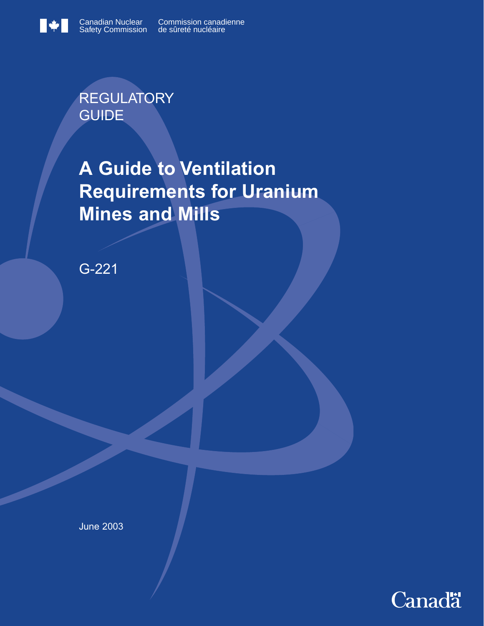$\blacksquare$ 



Commission canadienne de sûreté nucléaire

**REGULATORY** GUIDE

**A Guide to Ventilation Requirements for Uranium Mines and Mills**

G-221

June 2003

**Canadä**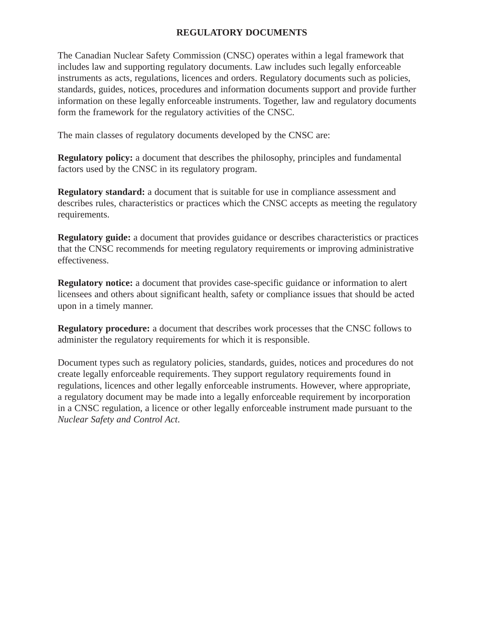# **REGULATORY DOCUMENTS**

The Canadian Nuclear Safety Commission (CNSC) operates within a legal framework that includes law and supporting regulatory documents. Law includes such legally enforceable instruments as acts, regulations, licences and orders. Regulatory documents such as policies, standards, guides, notices, procedures and information documents support and provide further information on these legally enforceable instruments. Together, law and regulatory documents form the framework for the regulatory activities of the CNSC.

The main classes of regulatory documents developed by the CNSC are:

**Regulatory policy:** a document that describes the philosophy, principles and fundamental factors used by the CNSC in its regulatory program.

**Regulatory standard:** a document that is suitable for use in compliance assessment and describes rules, characteristics or practices which the CNSC accepts as meeting the regulatory requirements.

**Regulatory guide:** a document that provides guidance or describes characteristics or practices that the CNSC recommends for meeting regulatory requirements or improving administrative effectiveness.

**Regulatory notice:** a document that provides case-specific guidance or information to alert licensees and others about significant health, safety or compliance issues that should be acted upon in a timely manner.

**Regulatory procedure:** a document that describes work processes that the CNSC follows to administer the regulatory requirements for which it is responsible.

Document types such as regulatory policies, standards, guides, notices and procedures do not create legally enforceable requirements. They support regulatory requirements found in regulations, licences and other legally enforceable instruments. However, where appropriate, a regulatory document may be made into a legally enforceable requirement by incorporation in a CNSC regulation, a licence or other legally enforceable instrument made pursuant to the *Nuclear Safety and Control Act*.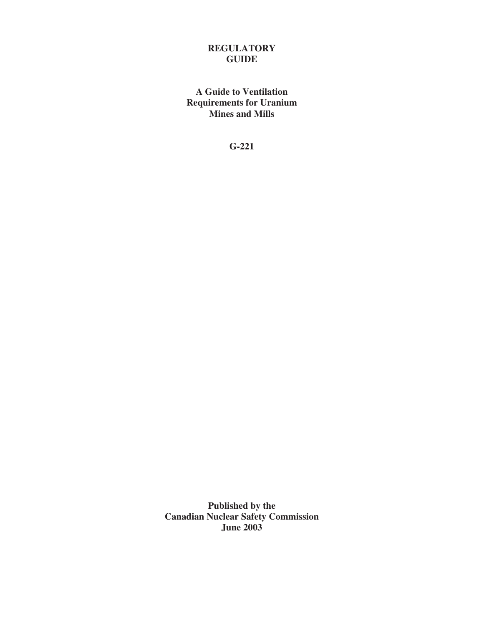# **REGULATORY GUIDE**

**A Guide to Ventilation Requirements for Uranium Mines and Mills** 

**G-221** 

**Published by the Canadian Nuclear Safety Commission June 2003**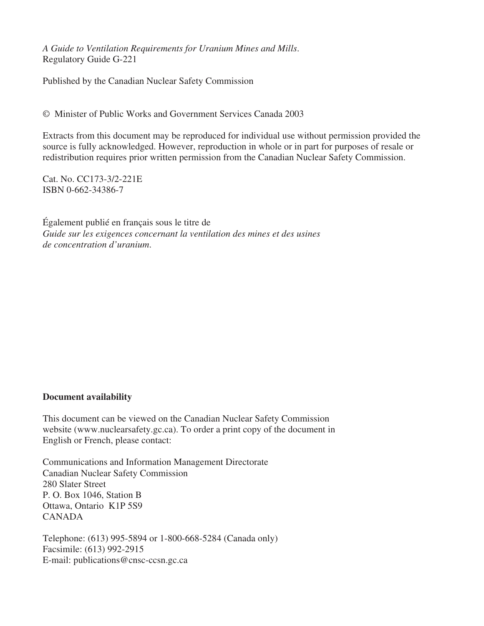*A Guide to Ventilation Requirements for Uranium Mines and Mills*. Regulatory Guide G-221

Published by the Canadian Nuclear Safety Commission

© Minister of Public Works and Government Services Canada 2003

Extracts from this document may be reproduced for individual use without permission provided the source is fully acknowledged. However, reproduction in whole or in part for purposes of resale or redistribution requires prior written permission from the Canadian Nuclear Safety Commission.

Cat. No. CC173-3/2-221E ISBN 0-662-34386-7

Également publié en français sous le titre de *Guide sur les exigences concernant la ventilation des mines et des usines de concentration d'uranium*.

#### **Document availability**

This document can be viewed on the Canadian Nuclear Safety Commission website (www.nuclearsafety.gc.ca). To order a print copy of the document in English or French, please contact:

Communications and Information Management Directorate Canadian Nuclear Safety Commission 280 Slater Street P. O. Box 1046, Station B Ottawa, Ontario K1P 5S9 CANADA

Telephone: (613) 995-5894 or 1-800-668-5284 (Canada only) Facsimile: (613) 992-2915 E-mail: publications@cnsc-ccsn.gc.ca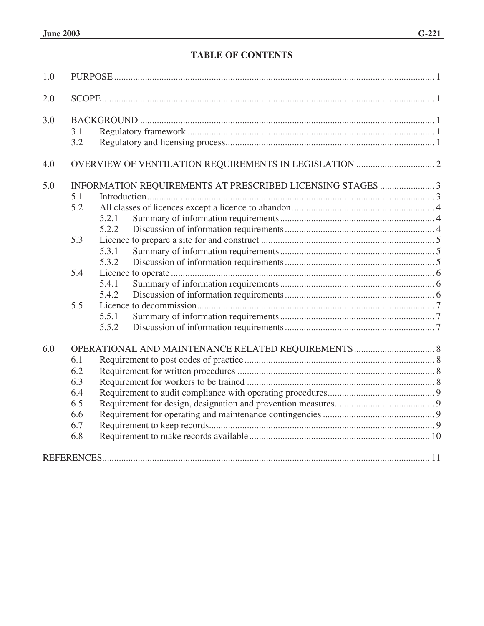# **TABLE OF CONTENTS**

| 1.0 |                                                           |       |  |  |
|-----|-----------------------------------------------------------|-------|--|--|
| 2.0 |                                                           |       |  |  |
| 3.0 | 3.1                                                       |       |  |  |
|     | 3.2                                                       |       |  |  |
| 4.0 |                                                           |       |  |  |
| 5.0 | INFORMATION REQUIREMENTS AT PRESCRIBED LICENSING STAGES 3 |       |  |  |
|     | 5.1                                                       |       |  |  |
|     | 5.2                                                       |       |  |  |
|     |                                                           | 5.2.1 |  |  |
|     |                                                           | 5.2.2 |  |  |
|     | 5.3                                                       |       |  |  |
|     |                                                           | 5.3.1 |  |  |
|     |                                                           | 5.3.2 |  |  |
|     | 5.4                                                       |       |  |  |
|     |                                                           | 5.4.1 |  |  |
|     |                                                           | 5.4.2 |  |  |
|     | 5.5                                                       |       |  |  |
|     |                                                           | 5.5.1 |  |  |
|     |                                                           | 5.5.2 |  |  |
| 6.0 |                                                           |       |  |  |
|     | 6.1                                                       |       |  |  |
|     | 6.2                                                       |       |  |  |
|     | 6.3                                                       |       |  |  |
|     | 6.4                                                       |       |  |  |
|     | 6.5                                                       |       |  |  |
|     | 6.6                                                       |       |  |  |
|     | 6.7                                                       |       |  |  |
|     | 6.8                                                       |       |  |  |
|     |                                                           |       |  |  |
|     |                                                           |       |  |  |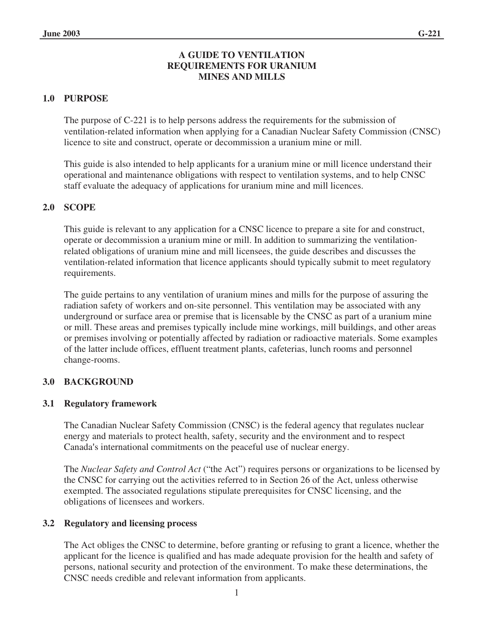# **A GUIDE TO VENTILATION REQUIREMENTS FOR URANIUM MINES AND MILLS**

# **1.0 PURPOSE**

The purpose of C-221 is to help persons address the requirements for the submission of ventilation-related information when applying for a Canadian Nuclear Safety Commission (CNSC) licence to site and construct, operate or decommission a uranium mine or mill.

This guide is also intended to help applicants for a uranium mine or mill licence understand their operational and maintenance obligations with respect to ventilation systems, and to help CNSC staff evaluate the adequacy of applications for uranium mine and mill licences.

# **2.0 SCOPE**

This guide is relevant to any application for a CNSC licence to prepare a site for and construct, operate or decommission a uranium mine or mill. In addition to summarizing the ventilationrelated obligations of uranium mine and mill licensees, the guide describes and discusses the ventilation-related information that licence applicants should typically submit to meet regulatory requirements.

The guide pertains to any ventilation of uranium mines and mills for the purpose of assuring the radiation safety of workers and on-site personnel. This ventilation may be associated with any underground or surface area or premise that is licensable by the CNSC as part of a uranium mine or mill. These areas and premises typically include mine workings, mill buildings, and other areas or premises involving or potentially affected by radiation or radioactive materials. Some examples of the latter include offices, effluent treatment plants, cafeterias, lunch rooms and personnel change-rooms.

#### **3.0 BACKGROUND**

#### **3.1 Regulatory framework**

The Canadian Nuclear Safety Commission (CNSC) is the federal agency that regulates nuclear energy and materials to protect health, safety, security and the environment and to respect Canada's international commitments on the peaceful use of nuclear energy.

The *Nuclear Safety and Control Act* ("the Act") requires persons or organizations to be licensed by the CNSC for carrying out the activities referred to in Section 26 of the Act, unless otherwise exempted. The associated regulations stipulate prerequisites for CNSC licensing, and the obligations of licensees and workers.

#### **3.2 Regulatory and licensing process**

The Act obliges the CNSC to determine, before granting or refusing to grant a licence, whether the applicant for the licence is qualified and has made adequate provision for the health and safety of persons, national security and protection of the environment. To make these determinations, the CNSC needs credible and relevant information from applicants.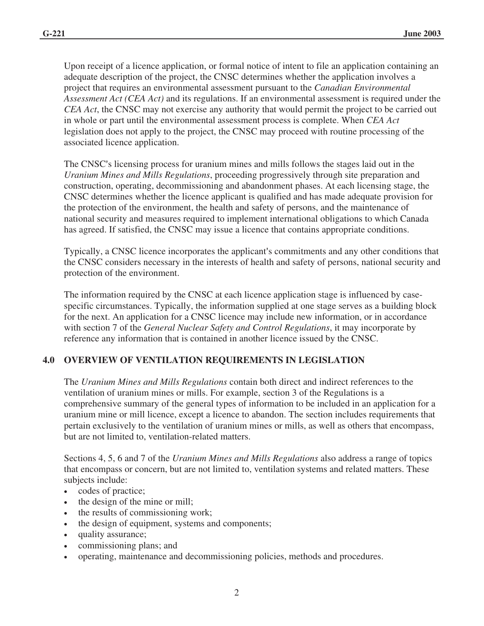Upon receipt of a licence application, or formal notice of intent to file an application containing an adequate description of the project, the CNSC determines whether the application involves a project that requires an environmental assessment pursuant to the *Canadian Environmental Assessment Act (CEA Act)* and its regulations. If an environmental assessment is required under the *CEA Act*, the CNSC may not exercise any authority that would permit the project to be carried out in whole or part until the environmental assessment process is complete. When *CEA Act* legislation does not apply to the project, the CNSC may proceed with routine processing of the associated licence application.

The CNSC's licensing process for uranium mines and mills follows the stages laid out in the *Uranium Mines and Mills Regulations*, proceeding progressively through site preparation and construction, operating, decommissioning and abandonment phases. At each licensing stage, the CNSC determines whether the licence applicant is qualified and has made adequate provision for the protection of the environment, the health and safety of persons, and the maintenance of national security and measures required to implement international obligations to which Canada has agreed. If satisfied, the CNSC may issue a licence that contains appropriate conditions.

Typically, a CNSC licence incorporates the applicant's commitments and any other conditions that the CNSC considers necessary in the interests of health and safety of persons, national security and protection of the environment.

The information required by the CNSC at each licence application stage is influenced by casespecific circumstances. Typically, the information supplied at one stage serves as a building block for the next. An application for a CNSC licence may include new information, or in accordance with section 7 of the *General Nuclear Safety and Control Regulations*, it may incorporate by reference any information that is contained in another licence issued by the CNSC.

# **4.0 OVERVIEW OF VENTILATION REQUIREMENTS IN LEGISLATION**

The *Uranium Mines and Mills Regulations* contain both direct and indirect references to the ventilation of uranium mines or mills. For example, section 3 of the Regulations is a comprehensive summary of the general types of information to be included in an application for a uranium mine or mill licence, except a licence to abandon. The section includes requirements that pertain exclusively to the ventilation of uranium mines or mills, as well as others that encompass, but are not limited to, ventilation-related matters.

Sections 4, 5, 6 and 7 of the *Uranium Mines and Mills Regulations* also address a range of topics that encompass or concern, but are not limited to, ventilation systems and related matters. These subjects include:

- codes of practice;
- the design of the mine or mill;
- the results of commissioning work;
- the design of equipment, systems and components;
- quality assurance;
- commissioning plans; and
- operating, maintenance and decommissioning policies, methods and procedures.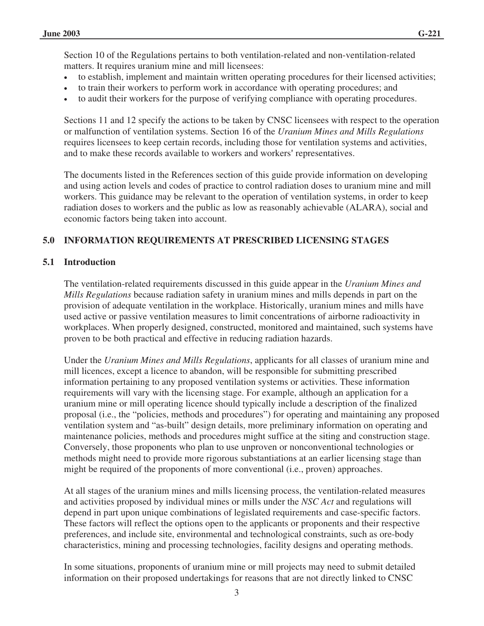Section 10 of the Regulations pertains to both ventilation-related and non-ventilation-related matters. It requires uranium mine and mill licensees:

- to establish, implement and maintain written operating procedures for their licensed activities;
- to train their workers to perform work in accordance with operating procedures; and
- to audit their workers for the purpose of verifying compliance with operating procedures.

Sections 11 and 12 specify the actions to be taken by CNSC licensees with respect to the operation or malfunction of ventilation systems. Section 16 of the *Uranium Mines and Mills Regulations*  requires licensees to keep certain records, including those for ventilation systems and activities, and to make these records available to workers and workers' representatives.

The documents listed in the References section of this guide provide information on developing and using action levels and codes of practice to control radiation doses to uranium mine and mill workers. This guidance may be relevant to the operation of ventilation systems, in order to keep radiation doses to workers and the public as low as reasonably achievable (ALARA), social and economic factors being taken into account.

#### **5.0 INFORMATION REQUIREMENTS AT PRESCRIBED LICENSING STAGES**

#### **5.1 Introduction**

The ventilation-related requirements discussed in this guide appear in the *Uranium Mines and Mills Regulations* because radiation safety in uranium mines and mills depends in part on the provision of adequate ventilation in the workplace. Historically, uranium mines and mills have used active or passive ventilation measures to limit concentrations of airborne radioactivity in workplaces. When properly designed, constructed, monitored and maintained, such systems have proven to be both practical and effective in reducing radiation hazards.

Under the *Uranium Mines and Mills Regulations*, applicants for all classes of uranium mine and mill licences, except a licence to abandon, will be responsible for submitting prescribed information pertaining to any proposed ventilation systems or activities. These information requirements will vary with the licensing stage. For example, although an application for a uranium mine or mill operating licence should typically include a description of the finalized proposal (i.e., the "policies, methods and procedures") for operating and maintaining any proposed ventilation system and "as-built" design details, more preliminary information on operating and maintenance policies, methods and procedures might suffice at the siting and construction stage. Conversely, those proponents who plan to use unproven or nonconventional technologies or methods might need to provide more rigorous substantiations at an earlier licensing stage than might be required of the proponents of more conventional (i.e., proven) approaches.

At all stages of the uranium mines and mills licensing process, the ventilation-related measures and activities proposed by individual mines or mills under the *NSC Act* and regulations will depend in part upon unique combinations of legislated requirements and case-specific factors. These factors will reflect the options open to the applicants or proponents and their respective preferences, and include site, environmental and technological constraints, such as ore-body characteristics, mining and processing technologies, facility designs and operating methods.

In some situations, proponents of uranium mine or mill projects may need to submit detailed information on their proposed undertakings for reasons that are not directly linked to CNSC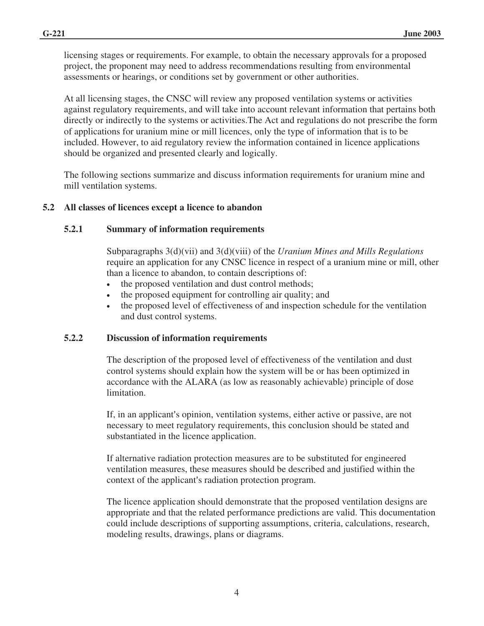licensing stages or requirements. For example, to obtain the necessary approvals for a proposed project, the proponent may need to address recommendations resulting from environmental assessments or hearings, or conditions set by government or other authorities.

At all licensing stages, the CNSC will review any proposed ventilation systems or activities against regulatory requirements, and will take into account relevant information that pertains both directly or indirectly to the systems or activities.The Act and regulations do not prescribe the form of applications for uranium mine or mill licences, only the type of information that is to be included. However, to aid regulatory review the information contained in licence applications should be organized and presented clearly and logically.

The following sections summarize and discuss information requirements for uranium mine and mill ventilation systems.

# **5.2 All classes of licences except a licence to abandon**

# **5.2.1 Summary of information requirements**

Subparagraphs 3(d)(vii) and 3(d)(viii) of the *Uranium Mines and Mills Regulations* require an application for any CNSC licence in respect of a uranium mine or mill, other than a licence to abandon, to contain descriptions of:

- the proposed ventilation and dust control methods;
- the proposed equipment for controlling air quality; and
- the proposed level of effectiveness of and inspection schedule for the ventilation and dust control systems.

#### **5.2.2 Discussion of information requirements**

The description of the proposed level of effectiveness of the ventilation and dust control systems should explain how the system will be or has been optimized in accordance with the ALARA (as low as reasonably achievable) principle of dose limitation.

If, in an applicant's opinion, ventilation systems, either active or passive, are not necessary to meet regulatory requirements, this conclusion should be stated and substantiated in the licence application.

If alternative radiation protection measures are to be substituted for engineered ventilation measures, these measures should be described and justified within the context of the applicant's radiation protection program.

The licence application should demonstrate that the proposed ventilation designs are appropriate and that the related performance predictions are valid. This documentation could include descriptions of supporting assumptions, criteria, calculations, research, modeling results, drawings, plans or diagrams.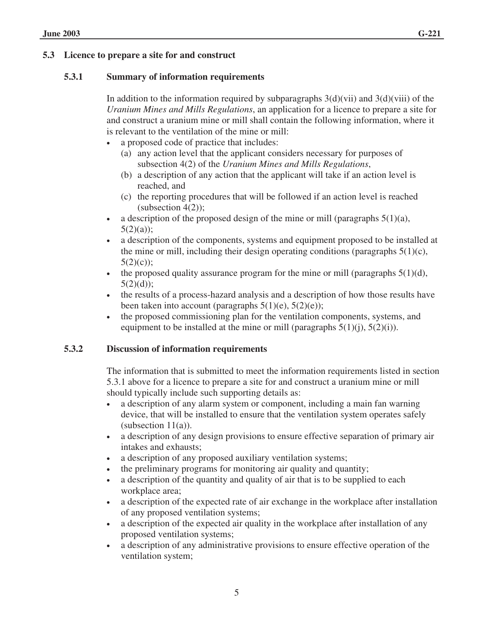#### **5.3.1 Summary of information requirements**

In addition to the information required by subparagraphs  $3(d)(vii)$  and  $3(d)(viii)$  of the *Uranium Mines and Mills Regulations*, an application for a licence to prepare a site for and construct a uranium mine or mill shall contain the following information, where it is relevant to the ventilation of the mine or mill:

- a proposed code of practice that includes:
	- (a) any action level that the applicant considers necessary for purposes of subsection 4(2) of the *Uranium Mines and Mills Regulations*,
	- (b) a description of any action that the applicant will take if an action level is reached, and
	- (c) the reporting procedures that will be followed if an action level is reached (subsection  $4(2)$ );
- a description of the proposed design of the mine or mill (paragraphs  $5(1)(a)$ ,  $5(2)(a)$ ;
- a description of the components, systems and equipment proposed to be installed at the mine or mill, including their design operating conditions (paragraphs  $5(1)(c)$ ,  $5(2)(c)$ ;
- the proposed quality assurance program for the mine or mill (paragraphs  $5(1)(d)$ ,  $5(2)(d)$ :
- the results of a process-hazard analysis and a description of how those results have been taken into account (paragraphs  $5(1)(e)$ ,  $5(2)(e)$ );
- the proposed commissioning plan for the ventilation components, systems, and equipment to be installed at the mine or mill (paragraphs  $5(1)(i)$ ,  $5(2)(i)$ ).

#### **5.3.2 Discussion of information requirements**

The information that is submitted to meet the information requirements listed in section 5.3.1 above for a licence to prepare a site for and construct a uranium mine or mill should typically include such supporting details as:

- a description of any alarm system or component, including a main fan warning device, that will be installed to ensure that the ventilation system operates safely (subsection  $11(a)$ ).
- a description of any design provisions to ensure effective separation of primary air intakes and exhausts;
- a description of any proposed auxiliary ventilation systems;
- the preliminary programs for monitoring air quality and quantity;
- a description of the quantity and quality of air that is to be supplied to each workplace area;
- a description of the expected rate of air exchange in the workplace after installation of any proposed ventilation systems;
- a description of the expected air quality in the workplace after installation of any proposed ventilation systems;
- a description of any administrative provisions to ensure effective operation of the ventilation system;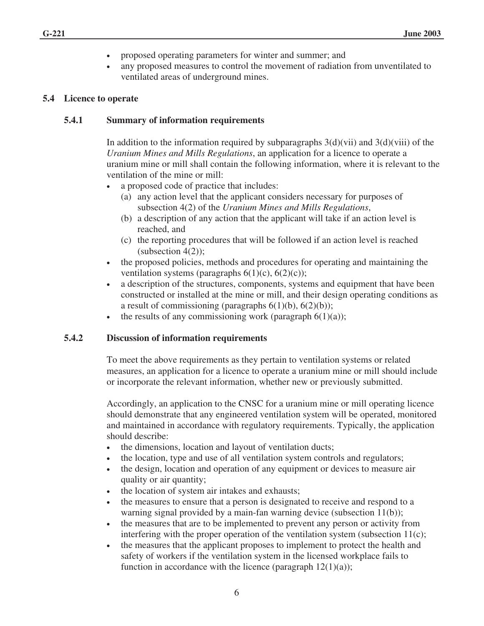- proposed operating parameters for winter and summer; and
- any proposed measures to control the movement of radiation from unventilated to ventilated areas of underground mines.

#### **5.4 Licence to operate**

#### **5.4.1 Summary of information requirements**

In addition to the information required by subparagraphs  $3(d)(vii)$  and  $3(d)(viii)$  of the *Uranium Mines and Mills Regulations*, an application for a licence to operate a uranium mine or mill shall contain the following information, where it is relevant to the ventilation of the mine or mill:

- a proposed code of practice that includes:
	- (a) any action level that the applicant considers necessary for purposes of subsection 4(2) of the *Uranium Mines and Mills Regulations*,
	- (b) a description of any action that the applicant will take if an action level is reached, and
	- (c) the reporting procedures that will be followed if an action level is reached  $(subsection 4(2))$ ;
- the proposed policies, methods and procedures for operating and maintaining the ventilation systems (paragraphs  $6(1)(c)$ ,  $6(2)(c)$ );
- a description of the structures, components, systems and equipment that have been constructed or installed at the mine or mill, and their design operating conditions as a result of commissioning (paragraphs  $6(1)(b)$ ,  $6(2)(b)$ );
- the results of any commissioning work (paragraph  $6(1)(a)$ );

#### **5.4.2 Discussion of information requirements**

To meet the above requirements as they pertain to ventilation systems or related measures, an application for a licence to operate a uranium mine or mill should include or incorporate the relevant information, whether new or previously submitted.

Accordingly, an application to the CNSC for a uranium mine or mill operating licence should demonstrate that any engineered ventilation system will be operated, monitored and maintained in accordance with regulatory requirements. Typically, the application should describe:

- the dimensions, location and layout of ventilation ducts;
- the location, type and use of all ventilation system controls and regulators;
- the design, location and operation of any equipment or devices to measure air quality or air quantity;
- the location of system air intakes and exhausts;
- the measures to ensure that a person is designated to receive and respond to a warning signal provided by a main-fan warning device (subsection 11(b));
- the measures that are to be implemented to prevent any person or activity from interfering with the proper operation of the ventilation system (subsection 11(c);
- the measures that the applicant proposes to implement to protect the health and safety of workers if the ventilation system in the licensed workplace fails to function in accordance with the licence (paragraph  $12(1)(a)$ );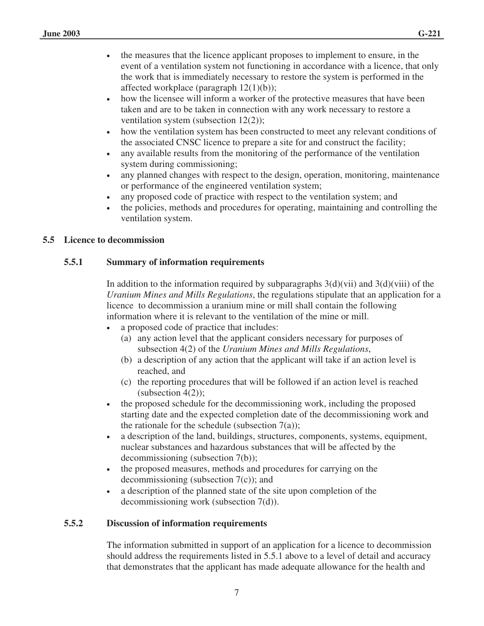- the measures that the licence applicant proposes to implement to ensure, in the event of a ventilation system not functioning in accordance with a licence, that only the work that is immediately necessary to restore the system is performed in the affected workplace (paragraph  $12(1)(b)$ );
- how the licensee will inform a worker of the protective measures that have been taken and are to be taken in connection with any work necessary to restore a ventilation system (subsection 12(2));
- how the ventilation system has been constructed to meet any relevant conditions of the associated CNSC licence to prepare a site for and construct the facility;
- any available results from the monitoring of the performance of the ventilation system during commissioning;
- any planned changes with respect to the design, operation, monitoring, maintenance or performance of the engineered ventilation system;
- any proposed code of practice with respect to the ventilation system; and
- the policies, methods and procedures for operating, maintaining and controlling the ventilation system.

# **5.5 Licence to decommission**

# **5.5.1 Summary of information requirements**

In addition to the information required by subparagraphs  $3(d)(vii)$  and  $3(d)(viii)$  of the *Uranium Mines and Mills Regulations*, the regulations stipulate that an application for a licence to decommission a uranium mine or mill shall contain the following information where it is relevant to the ventilation of the mine or mill.

- a proposed code of practice that includes:
	- (a) any action level that the applicant considers necessary for purposes of subsection 4(2) of the *Uranium Mines and Mills Regulations*,
	- (b) a description of any action that the applicant will take if an action level is reached, and
	- (c) the reporting procedures that will be followed if an action level is reached (subsection  $4(2)$ );
- the proposed schedule for the decommissioning work, including the proposed starting date and the expected completion date of the decommissioning work and the rationale for the schedule (subsection  $7(a)$ );
- a description of the land, buildings, structures, components, systems, equipment, nuclear substances and hazardous substances that will be affected by the decommissioning (subsection 7(b));
- the proposed measures, methods and procedures for carrying on the decommissioning (subsection 7(c)); and
- a description of the planned state of the site upon completion of the decommissioning work (subsection 7(d)).

# **5.5.2 Discussion of information requirements**

The information submitted in support of an application for a licence to decommission should address the requirements listed in 5.5.1 above to a level of detail and accuracy that demonstrates that the applicant has made adequate allowance for the health and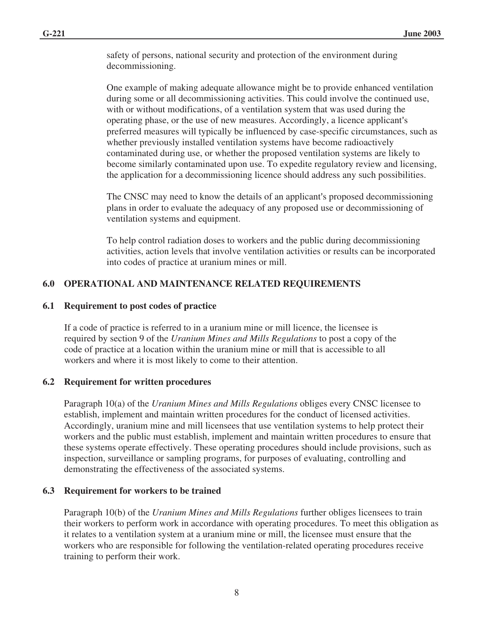safety of persons, national security and protection of the environment during decommissioning.

One example of making adequate allowance might be to provide enhanced ventilation during some or all decommissioning activities. This could involve the continued use, with or without modifications, of a ventilation system that was used during the operating phase, or the use of new measures. Accordingly, a licence applicant's preferred measures will typically be influenced by case-specific circumstances, such as whether previously installed ventilation systems have become radioactively contaminated during use, or whether the proposed ventilation systems are likely to become similarly contaminated upon use. To expedite regulatory review and licensing, the application for a decommissioning licence should address any such possibilities.

The CNSC may need to know the details of an applicant's proposed decommissioning plans in order to evaluate the adequacy of any proposed use or decommissioning of ventilation systems and equipment.

To help control radiation doses to workers and the public during decommissioning activities, action levels that involve ventilation activities or results can be incorporated into codes of practice at uranium mines or mill.

# **6.0 OPERATIONAL AND MAINTENANCE RELATED REQUIREMENTS**

#### **6.1 Requirement to post codes of practice**

If a code of practice is referred to in a uranium mine or mill licence, the licensee is required by section 9 of the *Uranium Mines and Mills Regulations* to post a copy of the code of practice at a location within the uranium mine or mill that is accessible to all workers and where it is most likely to come to their attention.

#### **6.2 Requirement for written procedures**

Paragraph 10(a) of the *Uranium Mines and Mills Regulations* obliges every CNSC licensee to establish, implement and maintain written procedures for the conduct of licensed activities. Accordingly, uranium mine and mill licensees that use ventilation systems to help protect their workers and the public must establish, implement and maintain written procedures to ensure that these systems operate effectively. These operating procedures should include provisions, such as inspection, surveillance or sampling programs, for purposes of evaluating, controlling and demonstrating the effectiveness of the associated systems.

#### **6.3 Requirement for workers to be trained**

Paragraph 10(b) of the *Uranium Mines and Mills Regulations* further obliges licensees to train their workers to perform work in accordance with operating procedures. To meet this obligation as it relates to a ventilation system at a uranium mine or mill, the licensee must ensure that the workers who are responsible for following the ventilation-related operating procedures receive training to perform their work.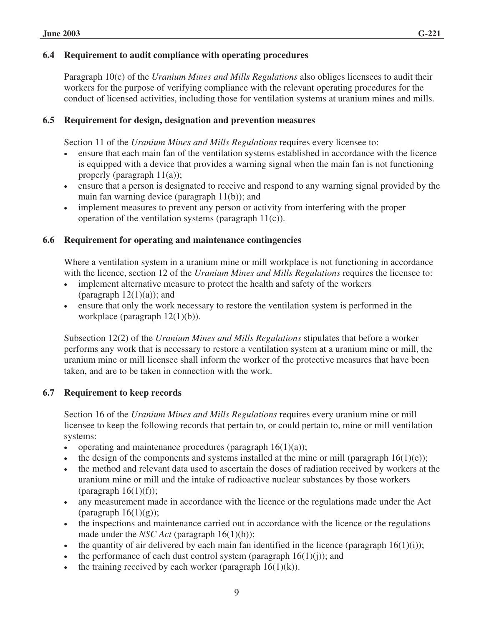Paragraph 10(c) of the *Uranium Mines and Mills Regulations* also obliges licensees to audit their workers for the purpose of verifying compliance with the relevant operating procedures for the conduct of licensed activities, including those for ventilation systems at uranium mines and mills.

# **6.5 Requirement for design, designation and prevention measures**

Section 11 of the *Uranium Mines and Mills Regulations* requires every licensee to:

- ensure that each main fan of the ventilation systems established in accordance with the licence is equipped with a device that provides a warning signal when the main fan is not functioning properly (paragraph 11(a));
- ensure that a person is designated to receive and respond to any warning signal provided by the main fan warning device (paragraph 11(b)); and
- implement measures to prevent any person or activity from interfering with the proper operation of the ventilation systems (paragraph 11(c)).

# **6.6 Requirement for operating and maintenance contingencies**

Where a ventilation system in a uranium mine or mill workplace is not functioning in accordance with the licence, section 12 of the *Uranium Mines and Mills Regulations* requires the licensee to:

- implement alternative measure to protect the health and safety of the workers (paragraph  $12(1)(a)$ ); and
- ensure that only the work necessary to restore the ventilation system is performed in the workplace (paragraph 12(1)(b)).

Subsection 12(2) of the *Uranium Mines and Mills Regulations* stipulates that before a worker performs any work that is necessary to restore a ventilation system at a uranium mine or mill, the uranium mine or mill licensee shall inform the worker of the protective measures that have been taken, and are to be taken in connection with the work.

# **6.7 Requirement to keep records**

Section 16 of the *Uranium Mines and Mills Regulations* requires every uranium mine or mill licensee to keep the following records that pertain to, or could pertain to, mine or mill ventilation systems:

- operating and maintenance procedures (paragraph  $16(1)(a)$ );
- the design of the components and systems installed at the mine or mill (paragraph  $16(1)(e)$ );
- the method and relevant data used to ascertain the doses of radiation received by workers at the uranium mine or mill and the intake of radioactive nuclear substances by those workers (paragraph  $16(1)(f)$ );
- any measurement made in accordance with the licence or the regulations made under the Act (paragraph  $16(1)(g)$ );
- the inspections and maintenance carried out in accordance with the licence or the regulations made under the *NSC Act* (paragraph 16(1)(h));
- the quantity of air delivered by each main fan identified in the licence (paragraph  $16(1)(i)$ );
- the performance of each dust control system (paragraph  $16(1)(i)$ ); and
- the training received by each worker (paragraph  $16(1)(k)$ ).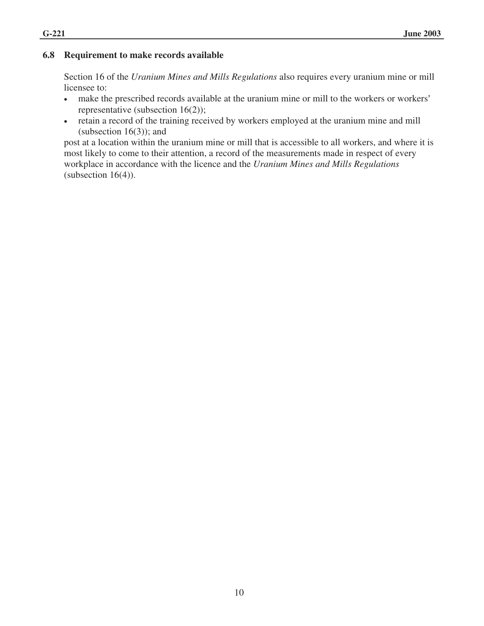# **6.8 Requirement to make records available**

Section 16 of the *Uranium Mines and Mills Regulations* also requires every uranium mine or mill licensee to:

- make the prescribed records available at the uranium mine or mill to the workers or workers' representative (subsection 16(2));
- retain a record of the training received by workers employed at the uranium mine and mill (subsection  $16(3)$ ); and

post at a location within the uranium mine or mill that is accessible to all workers, and where it is most likely to come to their attention, a record of the measurements made in respect of every workplace in accordance with the licence and the *Uranium Mines and Mills Regulations* (subsection  $16(4)$ ).